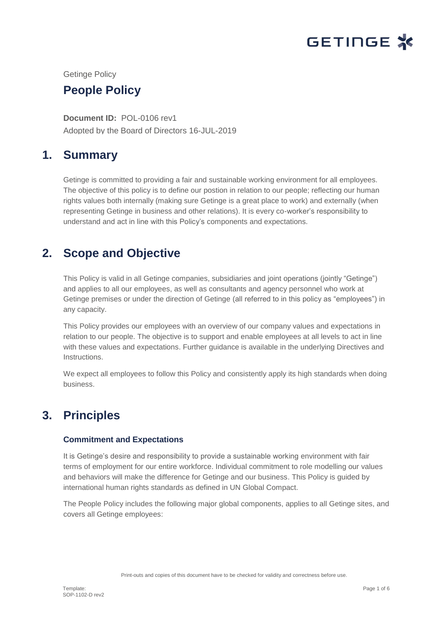

Getinge Policy

## **People Policy**

**Document ID:** POL-0106 rev1 Adopted by the Board of Directors 16-JUL-2019

## **1. Summary**

Getinge is committed to providing a fair and sustainable working environment for all employees. The objective of this policy is to define our postion in relation to our people; reflecting our human rights values both internally (making sure Getinge is a great place to work) and externally (when representing Getinge in business and other relations). It is every co-worker's responsibility to understand and act in line with this Policy's components and expectations.

# **2. Scope and Objective**

This Policy is valid in all Getinge companies, subsidiaries and joint operations (jointly "Getinge") and applies to all our employees, as well as consultants and agency personnel who work at Getinge premises or under the direction of Getinge (all referred to in this policy as "employees") in any capacity.

This Policy provides our employees with an overview of our company values and expectations in relation to our people. The objective is to support and enable employees at all levels to act in line with these values and expectations. Further guidance is available in the underlying Directives and Instructions.

We expect all employees to follow this Policy and consistently apply its high standards when doing business.

# **3. Principles**

## **Commitment and Expectations**

It is Getinge's desire and responsibility to provide a sustainable working environment with fair terms of employment for our entire workforce. Individual commitment to role modelling our values and behaviors will make the difference for Getinge and our business. This Policy is guided by international human rights standards as defined in UN Global Compact.

The People Policy includes the following major global components, applies to all Getinge sites, and covers all Getinge employees: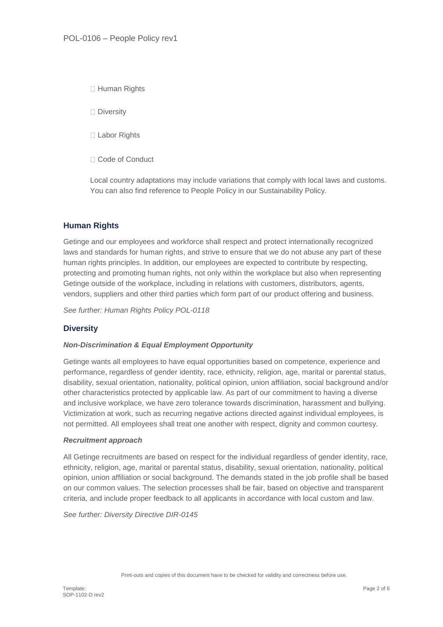□ Human Rights

□ Diversity

□ Labor Rights

□ Code of Conduct

Local country adaptations may include variations that comply with local laws and customs. You can also find reference to People Policy in our Sustainability Policy.

## **Human Rights**

Getinge and our employees and workforce shall respect and protect internationally recognized laws and standards for human rights, and strive to ensure that we do not abuse any part of these human rights principles. In addition, our employees are expected to contribute by respecting, protecting and promoting human rights, not only within the workplace but also when representing Getinge outside of the workplace, including in relations with customers, distributors, agents, vendors, suppliers and other third parties which form part of our product offering and business.

*See further: Human Rights Policy POL-0118*

## **Diversity**

#### *Non-Discrimination & Equal Employment Opportunity*

Getinge wants all employees to have equal opportunities based on competence, experience and performance, regardless of gender identity, race, ethnicity, religion, age, marital or parental status, disability, sexual orientation, nationality, political opinion, union affiliation, social background and/or other characteristics protected by applicable law. As part of our commitment to having a diverse and inclusive workplace, we have zero tolerance towards discrimination, harassment and bullying. Victimization at work, such as recurring negative actions directed against individual employees, is not permitted. All employees shall treat one another with respect, dignity and common courtesy.

#### *Recruitment approach*

All Getinge recruitments are based on respect for the individual regardless of gender identity, race, ethnicity, religion, age, marital or parental status, disability, sexual orientation, nationality, political opinion, union affiliation or social background. The demands stated in the job profile shall be based on our common values. The selection processes shall be fair, based on objective and transparent criteria, and include proper feedback to all applicants in accordance with local custom and law.

*See further: Diversity Directive DIR-0145*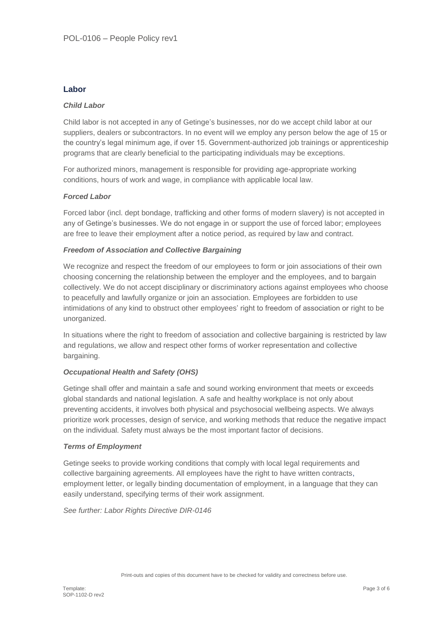### **Labor**

### *Child Labor*

Child labor is not accepted in any of Getinge's businesses, nor do we accept child labor at our suppliers, dealers or subcontractors. In no event will we employ any person below the age of 15 or the country's legal minimum age, if over 15. Government-authorized job trainings or apprenticeship programs that are clearly beneficial to the participating individuals may be exceptions.

For authorized minors, management is responsible for providing age-appropriate working conditions, hours of work and wage, in compliance with applicable local law.

#### *Forced Labor*

Forced labor (incl. dept bondage, trafficking and other forms of modern slavery) is not accepted in any of Getinge's businesses. We do not engage in or support the use of forced labor; employees are free to leave their employment after a notice period, as required by law and contract.

#### *Freedom of Association and Collective Bargaining*

We recognize and respect the freedom of our employees to form or join associations of their own choosing concerning the relationship between the employer and the employees, and to bargain collectively. We do not accept disciplinary or discriminatory actions against employees who choose to peacefully and lawfully organize or join an association. Employees are forbidden to use intimidations of any kind to obstruct other employees' right to freedom of association or right to be unorganized.

In situations where the right to freedom of association and collective bargaining is restricted by law and regulations, we allow and respect other forms of worker representation and collective bargaining.

#### *Occupational Health and Safety (OHS)*

Getinge shall offer and maintain a safe and sound working environment that meets or exceeds global standards and national legislation. A safe and healthy workplace is not only about preventing accidents, it involves both physical and psychosocial wellbeing aspects. We always prioritize work processes, design of service, and working methods that reduce the negative impact on the individual. Safety must always be the most important factor of decisions.

#### *Terms of Employment*

Getinge seeks to provide working conditions that comply with local legal requirements and collective bargaining agreements. All employees have the right to have written contracts, employment letter, or legally binding documentation of employment, in a language that they can easily understand, specifying terms of their work assignment.

*See further: Labor Rights Directive DIR-0146*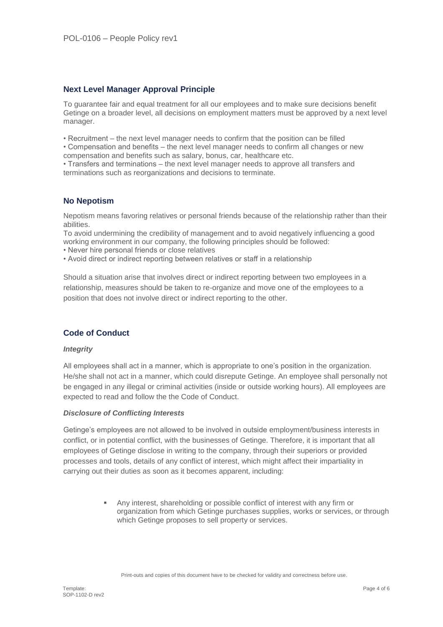## **Next Level Manager Approval Principle**

To guarantee fair and equal treatment for all our employees and to make sure decisions benefit Getinge on a broader level, all decisions on employment matters must be approved by a next level manager.

• Recruitment – the next level manager needs to confirm that the position can be filled

• Compensation and benefits – the next level manager needs to confirm all changes or new compensation and benefits such as salary, bonus, car, healthcare etc.

• Transfers and terminations – the next level manager needs to approve all transfers and terminations such as reorganizations and decisions to terminate.

## **No Nepotism**

Nepotism means favoring relatives or personal friends because of the relationship rather than their abilities.

To avoid undermining the credibility of management and to avoid negatively influencing a good working environment in our company, the following principles should be followed:

• Never hire personal friends or close relatives

• Avoid direct or indirect reporting between relatives or staff in a relationship

Should a situation arise that involves direct or indirect reporting between two employees in a relationship, measures should be taken to re-organize and move one of the employees to a position that does not involve direct or indirect reporting to the other.

## **Code of Conduct**

#### *Integrity*

All employees shall act in a manner, which is appropriate to one's position in the organization. He/she shall not act in a manner, which could disrepute Getinge. An employee shall personally not be engaged in any illegal or criminal activities (inside or outside working hours). All employees are expected to read and follow the the Code of Conduct.

#### *Disclosure of Conflicting Interests*

Getinge's employees are not allowed to be involved in outside employment/business interests in conflict, or in potential conflict, with the businesses of Getinge. Therefore, it is important that all employees of Getinge disclose in writing to the company, through their superiors or provided processes and tools, details of any conflict of interest, which might affect their impartiality in carrying out their duties as soon as it becomes apparent, including:

> Any interest, shareholding or possible conflict of interest with any firm or organization from which Getinge purchases supplies, works or services, or through which Getinge proposes to sell property or services.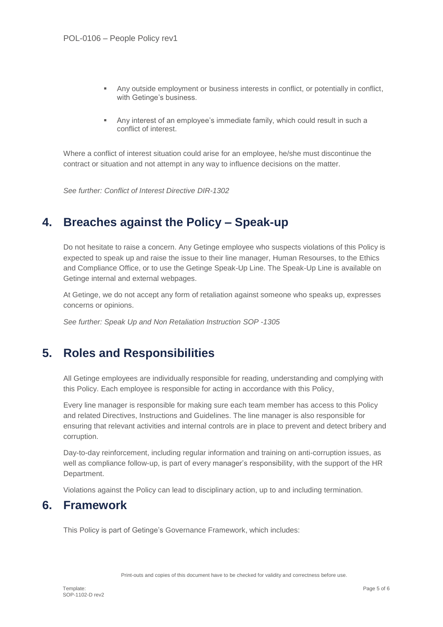- Any outside employment or business interests in conflict, or potentially in conflict, with Getinge's business.
- Any interest of an employee's immediate family, which could result in such a conflict of interest.

Where a conflict of interest situation could arise for an employee, he/she must discontinue the contract or situation and not attempt in any way to influence decisions on the matter.

*See further: Conflict of Interest Directive DIR-1302*

# **4. Breaches against the Policy – Speak-up**

Do not hesitate to raise a concern. Any Getinge employee who suspects violations of this Policy is expected to speak up and raise the issue to their line manager, Human Resourses, to the Ethics and Compliance Office, or to use the Getinge Speak-Up Line. The Speak-Up Line is available on Getinge internal and external webpages.

At Getinge, we do not accept any form of retaliation against someone who speaks up, expresses concerns or opinions.

*See further: Speak Up and Non Retaliation Instruction SOP -1305*

# **5. Roles and Responsibilities**

All Getinge employees are individually responsible for reading, understanding and complying with this Policy. Each employee is responsible for acting in accordance with this Policy,

Every line manager is responsible for making sure each team member has access to this Policy and related Directives, Instructions and Guidelines. The line manager is also responsible for ensuring that relevant activities and internal controls are in place to prevent and detect bribery and corruption.

Day-to-day reinforcement, including regular information and training on anti-corruption issues, as well as compliance follow-up, is part of every manager's responsibility, with the support of the HR Department.

Violations against the Policy can lead to disciplinary action, up to and including termination.

## **6. Framework**

This Policy is part of Getinge's Governance Framework, which includes:

Print-outs and copies of this document have to be checked for validity and correctness before use.